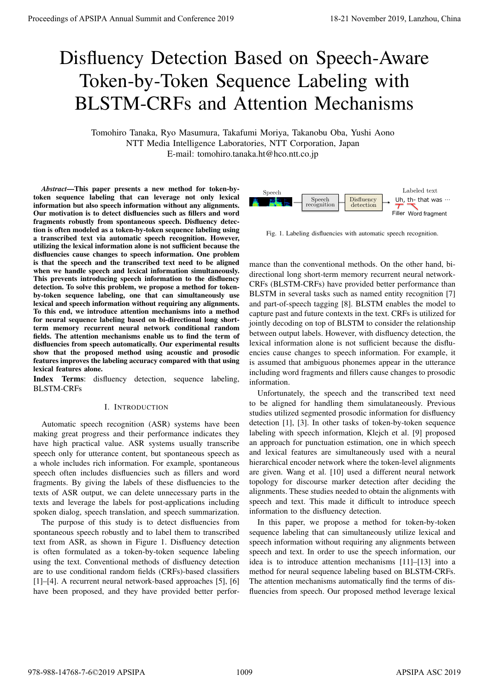# Disfluency Detection Based on Speech-Aware Token-by-Token Sequence Labeling with BLSTM-CRFs and Attention Mechanisms

Tomohiro Tanaka, Ryo Masumura, Takafumi Moriya, Takanobu Oba, Yushi Aono NTT Media Intelligence Laboratories, NTT Corporation, Japan E-mail: tomohiro.tanaka.ht@hco.ntt.co.jp

*Abstract*—This paper presents a new method for token-bytoken sequence labeling that can leverage not only lexical information but also speech information without any alignments. Our motivation is to detect disfluencies such as fillers and word fragments robustly from spontaneous speech. Disfluency detection is often modeled as a token-by-token sequence labeling using a transcribed text via automatic speech recognition. However, utilizing the lexical information alone is not sufficient because the disfluencies cause changes to speech information. One problem is that the speech and the transcribed text need to be aligned when we handle speech and lexical information simultaneously. This prevents introducing speech information to the disfluency detection. To solve this problem, we propose a method for tokenby-token sequence labeling, one that can simultaneously use lexical and speech information without requiring any alignments. To this end, we introduce attention mechanisms into a method for neural sequence labeling based on bi-directional long shortterm memory recurrent neural network conditional random fields. The attention mechanisms enable us to find the term of disfluencies from speech automatically. Our experimental results show that the proposed method using acoustic and prosodic features improves the labeling accuracy compared with that using lexical features alone. **Proceedings of APSIPA Annual Summit and Conference 2019**<br> **Distribution Conference 2019**<br> **Distribution Conference 2019**<br> **BLSTM-CRFs and Attention Mechanisms**<br> **Browning and Activition Mechanisms**<br> **Browning and Activit** 

Index Terms: disfluency detection, sequence labeling, BLSTM-CRFs

# I. INTRODUCTION

Automatic speech recognition (ASR) systems have been making great progress and their performance indicates they have high practical value. ASR systems usually transcribe speech only for utterance content, but spontaneous speech as a whole includes rich information. For example, spontaneous speech often includes disfluencies such as fillers and word fragments. By giving the labels of these disfluencies to the texts of ASR output, we can delete unnecessary parts in the texts and leverage the labels for post-applications including spoken dialog, speech translation, and speech summarization.

The purpose of this study is to detect disfluencies from spontaneous speech robustly and to label them to transcribed text from ASR, as shown in Figure 1. Disfluency detection is often formulated as a token-by-token sequence labeling using the text. Conventional methods of disfluency detection are to use conditional random fields (CRFs)-based classifiers [1]–[4]. A recurrent neural network-based approaches [5], [6] have been proposed, and they have provided better perfor-



Fig. 1. Labeling disfluencies with automatic speech recognition.

mance than the conventional methods. On the other hand, bidirectional long short-term memory recurrent neural network-CRFs (BLSTM-CRFs) have provided better performance than BLSTM in several tasks such as named entity recognition [7] and part-of-speech tagging [8]. BLSTM enables the model to capture past and future contexts in the text. CRFs is utilized for jointly decoding on top of BLSTM to consider the relationship between output labels. However, with disfluency detection, the lexical information alone is not sufficient because the disfluencies cause changes to speech information. For example, it is assumed that ambiguous phonemes appear in the utterance including word fragments and fillers cause changes to prosodic information.

Unfortunately, the speech and the transcribed text need to be aligned for handling them simulataneously. Previous studies utilized segmented prosodic information for disfluency detection [1], [3]. In other tasks of token-by-token sequence labeling with speech information, Klejch et al. [9] proposed an approach for punctuation estimation, one in which speech and lexical features are simultaneously used with a neural hierarchical encoder network where the token-level alignments are given. Wang et al. [10] used a different neural network topology for discourse marker detection after deciding the alignments. These studies needed to obtain the alignments with speech and text. This made it difficult to introduce speech information to the disfluency detection.

In this paper, we propose a method for token-by-token sequence labeling that can simultaneously utilize lexical and speech information without requiring any alignments between speech and text. In order to use the speech information, our idea is to introduce attention mechanisms [11]–[13] into a method for neural sequence labeling based on BLSTM-CRFs. The attention mechanisms automatically find the terms of disfluencies from speech. Our proposed method leverage lexical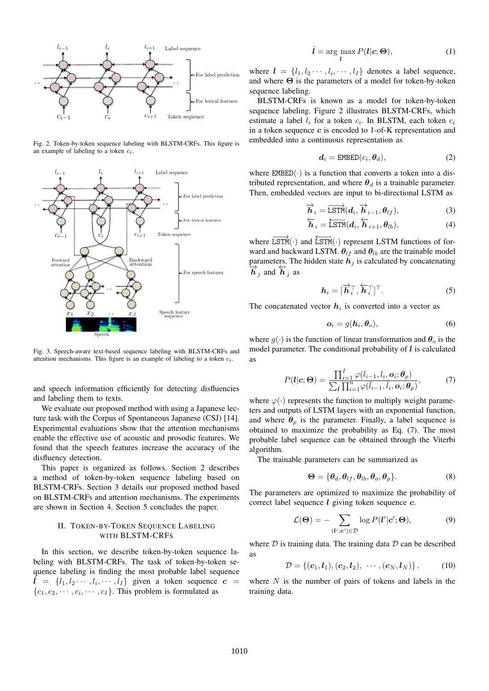

Fig. 2. Token-by-token sequence labeling with BLSTM-CRFs. This figure is an example of labeling to a token *ci*.



Fig. 3. Speech-aware text-based sequence labeling with BLSTM-CRFs and attention mechanisms. This figure is an example of labeling to a token *ci*.

and speech information efficiently for detecting disfluencies and labeling them to texts.

We evaluate our proposed method with using a Japanese lecture task with the Corpus of Spontaneous Japanese (CSJ) [14]. Experimental evaluations show that the attention mechanisms enable the effective use of acoustic and prosodic features. We found that the speech features increase the accuracy of the disfluency detection.

This paper is organized as follows. Section 2 describes a method of token-by-token sequence labeling based on BLSTM-CRFs. Section 3 details our proposed method based on BLSTM-CRFs and attention mechanisms. The experiments are shown in Section 4. Section 5 concludes the paper.

# II. TOKEN-BY-TOKEN SEQUENCE LABELING WITH BLSTM-CRFS

In this section, we describe token-by-token sequence labeling with BLSTM-CRFs. The task of token-by-token sequence labeling is finding the most probable label sequence  $\hat{l} = \{l_1, l_2 \cdots, l_i, \cdots, l_I\}$  given a token sequence  $c =$  $\{c_1, c_2, \cdots, c_i, \cdots, c_I\}$ . This problem is formulated as

$$
\hat{\boldsymbol{l}} = \arg\max_{\boldsymbol{l}} P(\boldsymbol{l}|\boldsymbol{c};\boldsymbol{\Theta}),\tag{1}
$$

where  $\mathbf{l} = \{l_1, l_2 \cdots, l_i, \cdots, l_I\}$  denotes a label sequence, and where **Θ** is the parameters of a model for token-by-token sequence labeling.

BLSTM-CRFs is known as a model for token-by-token sequence labeling. Figure 2 illustrates BLSTM-CRFs, which estimate a label  $l_i$  for a token  $c_i$ . In BLSTM, each token  $c_i$ in a token sequence *c* is encoded to 1-of-K representation and embedded into a continuous representation as

$$
\boldsymbol{d}_i = \text{EMBED}(c_i, \boldsymbol{\theta}_d),\tag{2}
$$

where  $EMBED(\cdot)$  is a function that converts a token into a distributed representation, and where  $\theta_d$  is a trainable parameter. Then, embedded vectors are input to bi-directional LSTM as

$$
\overrightarrow{\boldsymbol{h}}_{i} = \overrightarrow{\text{LSTM}}(\boldsymbol{d}_{i}, \overrightarrow{\boldsymbol{h}}_{i-1}, \boldsymbol{\theta}_{lf}),
$$
\n(3)

$$
\overleftarrow{\boldsymbol{h}}_{i} = \overleftarrow{\text{LSTM}}(\boldsymbol{d}_{i}, \overleftarrow{\boldsymbol{h}}_{i+1}, \boldsymbol{\theta}_{lb}),
$$
\n(4)

where  $\overrightarrow{LSTM}(\cdot)$  and  $\overleftarrow{LSTM}(\cdot)$  represent LSTM functions of forward and backward LSTM.  $\theta_{lf}$  and  $\theta_{lb}$  are the trainable model parameters. The hidden state  $h_j$  is calculated by concatenating  $\frac{\partial}{\partial t}$  *h j* and  $\overleftarrow{h}$  *j* as

$$
\boldsymbol{h}_i = [\overrightarrow{\boldsymbol{h}}_i^\top, \overleftarrow{\boldsymbol{h}}_i^\top]^\top. \tag{5}
$$

The concatenated vector  $h_i$  is converted into a vector as

$$
\boldsymbol{o}_i = g(\boldsymbol{h}_i, \boldsymbol{\theta}_o),\tag{6}
$$

where  $g(\cdot)$  is the function of linear transformation and  $\theta_o$  is the model parameter. The conditional probability of *l* is calculated as

$$
P(\boldsymbol{l}|\boldsymbol{c};\boldsymbol{\Theta}) = \frac{\prod_{i=1}^{I} \varphi(l_{i-1}, l_i, \boldsymbol{o}_i; \boldsymbol{\theta}_p)}{\sum_{\bar{\boldsymbol{l}}} \prod_{i=1}^{n} \varphi(\bar{l}_{i-1}, \bar{l}_i, \boldsymbol{o}_i; \boldsymbol{\theta}_p)},
$$
(7)

where  $\varphi(\cdot)$  represents the function to multiply weight parameters and outputs of LSTM layers with an exponential function, and where  $\theta_p$  is the parameter. Finally, a label sequence is obtained to maximize the probability as Eq. (7). The most probable label sequence can be obtained through the Viterbi algorithm.

The trainable parameters can be summarized as

$$
\mathbf{\Theta} = {\theta_d, \theta_{lf}, \theta_{lb}, \theta_o, \theta_p}.
$$
 (8)

The parameters are optimized to maximize the probability of correct label sequence *l* giving token sequence *c*.

$$
\mathcal{L}(\mathbf{\Theta}) = -\sum_{(\mathbf{l}',\mathbf{c}') \in \mathcal{D}} \log P(\mathbf{l}'|\mathbf{c}';\mathbf{\Theta}),\tag{9}
$$

where *D* is training data. The training data *D* can be described as

$$
\mathcal{D} = \{(\mathbf{c}_1, \mathbf{l}_1), (\mathbf{c}_2, \mathbf{l}_2), \cdots, (\mathbf{c}_N, \mathbf{l}_N)\},\qquad(10)
$$

where *N* is the number of pairs of tokens and labels in the training data.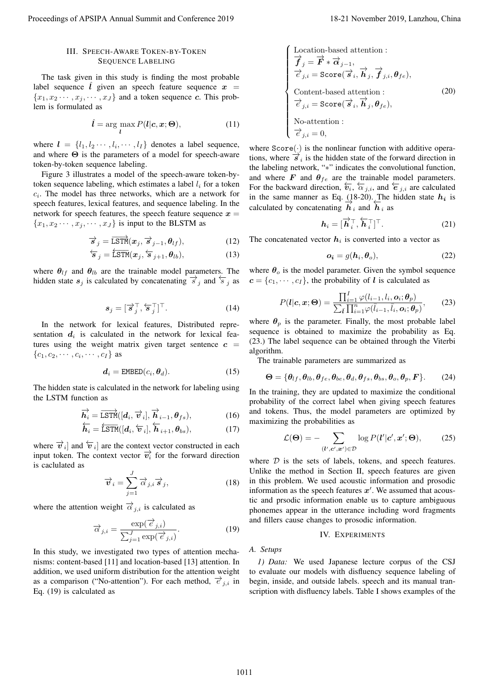# III. SPEECH-AWARE TOKEN-BY-TOKEN SEQUENCE LABELING

The task given in this study is finding the most probable label sequence  $\hat{l}$  given an speech feature sequence  $x =$  ${x_1, x_2 \cdots, x_j, \cdots, x_J}$  and a token sequence *c*. This problem is formulated as

$$
\hat{l} = \underset{l}{\arg \max} P(l|\mathbf{c}, \mathbf{x}; \Theta), \tag{11}
$$

where  $\mathbf{l} = \{l_1, l_2 \cdots, l_i, \cdots, l_I\}$  denotes a label sequence, and where **Θ** is the parameters of a model for speech-aware token-by-token sequence labeling.

Figure 3 illustrates a model of the speech-aware token-bytoken sequence labeling, which estimates a label  $l_i$  for a token  $c_i$ . The model has three networks, which are a network for speech features, lexical features, and sequence labeling. In the network for speech features, the speech feature sequence  $x =$  ${x_1, x_2 \cdots, x_j, \cdots, x_J}$  is input to the BLSTM as

$$
\overrightarrow{s}_{j} = \overrightarrow{\text{LSTM}}(\boldsymbol{x}_{j}, \overrightarrow{s}_{j-1}, \boldsymbol{\theta}_{lf}), \qquad (12)
$$

$$
\overleftarrow{s}_j = \overleftarrow{\text{LSTM}}(\boldsymbol{x}_j, \overleftarrow{s}_{j+1}, \boldsymbol{\theta}_{lb}),
$$
\n(13)

where  $\theta_{lf}$  and  $\theta_{lb}$  are the trainable model parameters. The hidden state  $s_j$  is calculated by concatenating  $\vec{s}_j$  and  $\vec{s}_j$  as

$$
\mathbf{s}_{j} = [\overrightarrow{\mathbf{s}}_{j}^{\top}, \overleftarrow{\mathbf{s}}_{j}^{\top}]^{\top}.
$$
 (14)

In the network for lexical features, Distributed representation  $d_i$  is calculated in the network for lexical features using the weight matrix given target sentence  $c =$  ${c_1, c_2, \cdots, c_i, \cdots, c_I}$  as

$$
\boldsymbol{d}_i = \text{EMBED}(c_i, \boldsymbol{\theta}_d). \tag{15}
$$

The hidden state is calculated in the network for labeling using the LSTM function as

$$
\overrightarrow{\mathbf{h}_{i}} = \overrightarrow{\text{LSTM}}([d_{i}, \overrightarrow{v}_{i}], \overrightarrow{\mathbf{h}}_{i-1}, \theta_{fs}),
$$
 (16)

$$
\overleftarrow{\boldsymbol{h}_i} = \overleftarrow{\text{LSTM}}([d_i, \overleftarrow{\boldsymbol{v}}_i], \overleftarrow{\boldsymbol{h}}_{i+1}, \boldsymbol{\theta}_{bs}),
$$
\n(17)

where  $\vec{v}_i$  and  $\hat{v}_i$  are the context vector constructed in each input token. The context vector  $\overrightarrow{v_i}$  for the forward direction is caclulated as

$$
\overrightarrow{v}_i = \sum_{j=1}^J \overrightarrow{\alpha}_{j,i} \overrightarrow{s}_j, \qquad (18)
$$

where the attention weight  $\vec{\alpha}_{i,i}$  is calculated as

$$
\overrightarrow{\alpha}_{j,i} = \frac{\exp(\overrightarrow{e}_{j,i})}{\sum_{j=1}^{J} \exp(\overrightarrow{e}_{j,i})}.
$$
 (19)

In this study, we investigated two types of attention mechanisms: content-based [11] and location-based [13] attention. In addition, we used uniform distribution for the attention weight as a comparison ("No-attention"). For each method,  $\vec{e}_{i,i}$  in Eq. (19) is calculated as

 Location-based attention : *−→<sup>f</sup> <sup>j</sup>* <sup>=</sup> *−→<sup>F</sup> <sup>∗</sup> −→α<sup>j</sup>−*<sup>1</sup>*, −→<sup>e</sup> j,i* <sup>=</sup> Score( *−→s i , −→h j , −→<sup>f</sup> j,i, <sup>θ</sup>f e*)*,* Content-based attention : *−→<sup>e</sup> j,i* <sup>=</sup> Score( *−→s i , −→<sup>h</sup> <sup>j</sup> , <sup>θ</sup>f e*)*,* No-attention : *−→<sup>e</sup> j,i* = 0*,* (20) Proceedings of APSIPA Annual Summit and Conference 2019 18-21 November 2019, Lanzhou, China 1011

where  $Score(\cdot)$  is the nonlinear function with additive operations, where  $\overrightarrow{s}_i$  is the hidden state of the forward direction in the labeling network, "*∗*" indicates the convolutional function, and where  $\boldsymbol{F}$  and  $\boldsymbol{\theta}_{fe}$  are the trainable model parameters. For the backward direction,  $\overleftarrow{v_i}$ ,  $\overleftarrow{\alpha}_{j,i}$ , and  $\overleftarrow{e}_{j,i}$  are calculated in the same manner as Eq. (18-20). The hidden state  $h_i$  is calculated by concatenating  $\vec{h}_i$  and  $\vec{h}_i$  as

$$
\boldsymbol{h}_i = [\overrightarrow{\boldsymbol{h}}_i^\top, \overleftarrow{\boldsymbol{h}}_i^\top]^\top. \tag{21}
$$

The concatenated vector  $h_i$  is converted into a vector as

$$
o_i = g(h_i, \theta_o), \tag{22}
$$

where  $\theta_o$  is the model parameter. Given the symbol sequence  $c = \{c_1, \dots, c_I\}$ , the probability of *l* is calculated as

$$
P(\boldsymbol{l}|\boldsymbol{c},\boldsymbol{x};\boldsymbol{\Theta}) = \frac{\prod_{i=1}^{I} \varphi(l_{i-1},l_i,\boldsymbol{o}_i;\boldsymbol{\theta}_p)}{\sum_{\bar{\boldsymbol{l}}} \prod_{i=1}^{n} \varphi(\bar{l}_{i-1},\bar{l}_i,\boldsymbol{o}_i;\boldsymbol{\theta}_p)},
$$
(23)

where  $\theta_p$  is the parameter. Finally, the most probable label sequence is obtained to maximize the probability as Eq. (23.) The label sequence can be obtained through the Viterbi algorithm.

The trainable parameters are summarized as

$$
\mathbf{\Theta} = \{\theta_{lf}, \theta_{lb}, \theta_{fe}, \theta_{be}, \theta_d, \theta_{fs}, \theta_{bs}, \theta_o, \theta_p, \mathbf{F}\}. \tag{24}
$$

In the training, they are updated to maximize the conditional probability of the correct label when giving speech features and tokens. Thus, the model parameters are optimized by maximizing the probabilities as

$$
\mathcal{L}(\mathbf{\Theta}) = -\sum_{(\mathbf{l}',\mathbf{c}',\mathbf{x}') \in \mathcal{D}} \log P(\mathbf{l}'|\mathbf{c}',\mathbf{x}';\mathbf{\Theta}),\tag{25}
$$

where *D* is the sets of labels, tokens, and speech features. Unlike the method in Section II, speech features are given in this problem. We used acoustic information and prosodic information as the speech features *x ′* . We assumed that acoustic and prsodic information enable us to capture ambiguous phonemes appear in the utterance including word fragments and fillers cause changes to prosodic information.

### IV. EXPERIMENTS

#### *A. Setups*

*1) Data:* We used Japanese lecture corpus of the CSJ to evaluate our models with disfluency sequence labeling of begin, inside, and outside labels. speech and its manual transcription with disfluency labels. Table I shows examples of the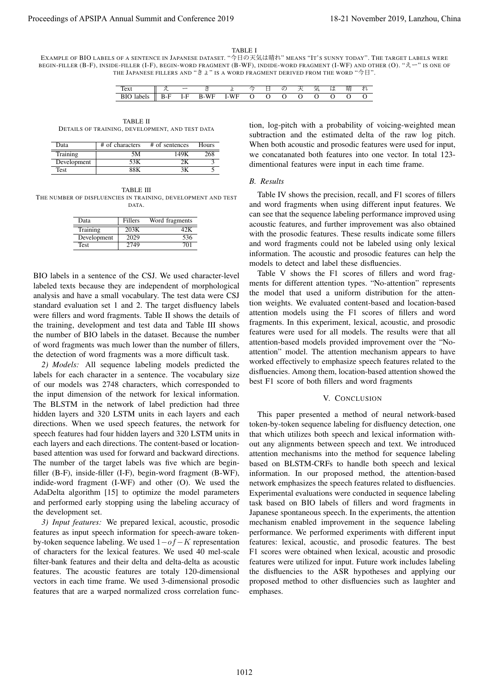#### TABLE I

EXAMPLE OF BIO LABELS OF A SENTENCE IN JAPANESE DATASET. "今日の天気は晴れ" MEANS "IT'S SUNNY TODAY". THE TARGET LABELS WERE BEGIN-FILLER (B-F), INSIDE-FILLER (I-F), BEGIN-WORD FRAGMENT (B-WF), INDIDE-WORD FRAGMENT (I-WF) AND OTHER (O). "えー" IS ONE OF THE JAPANESE FILLERS AND " $\exists$   $\angle$ " IS A WORD FRAGMENT DERIVED FROM THE WORD " $\triangleq$   $\Box$ ".

| $\sim$<br>'ex |        | -   |               |                     |   |  |   | v ok | 明 |  |
|---------------|--------|-----|---------------|---------------------|---|--|---|------|---|--|
| <b>DIC</b>    | г. - г | +F. | ЛF<br>R.<br>W | VF<br>w<br>. .<br>. | ັ |  | ╰ |      | ີ |  |

TABLE II DETAILS OF TRAINING, DEVELOPMENT, AND TEST DATA

| Data        | # of characters | # of sentences | Hours |
|-------------|-----------------|----------------|-------|
| Training    | 5Μ              | 149K           | 268   |
| Development | 53K             |                |       |
| Test        | 88K             |                |       |

TABLE III THE NUMBER OF DISFLUENCIES IN TRAINING, DEVELOPMENT AND TEST DATA.

| Data        | <b>Fillers</b> | Word fragments |
|-------------|----------------|----------------|
| Training    | 203K           |                |
| Development | 2029           | 536            |
| Test        | 2749           | 701            |

BIO labels in a sentence of the CSJ. We used character-level labeled texts because they are independent of morphological analysis and have a small vocabulary. The test data were CSJ standard evaluation set 1 and 2. The target disfluency labels were fillers and word fragments. Table II shows the details of the training, development and test data and Table III shows the number of BIO labels in the dataset. Because the number of word fragments was much lower than the number of fillers, the detection of word fragments was a more difficult task.

*2) Models:* All sequence labeling models predicted the labels for each character in a sentence. The vocabulary size of our models was 2748 characters, which corresponded to the input dimension of the network for lexical information. The BLSTM in the network of label prediction had three hidden layers and 320 LSTM units in each layers and each directions. When we used speech features, the network for speech features had four hidden layers and 320 LSTM units in each layers and each directions. The content-based or locationbased attention was used for forward and backward directions. The number of the target labels was five which are beginfiller (B-F), inside-filler (I-F), begin-word fragment (B-WF), indide-word fragment (I-WF) and other (O). We used the AdaDelta algorithm [15] to optimize the model parameters and performed early stopping using the labeling accuracy of the development set.

*3) Input features:* We prepared lexical, acoustic, prosodic features as input speech information for speech-aware tokenby-token sequence labeling. We used 1*−of−K* representation of characters for the lexical features. We used 40 mel-scale filter-bank features and their delta and delta-delta as acoustic features. The acoustic features are totaly 120-dimensional vectors in each time frame. We used 3-dimensional prosodic features that are a warped normalized cross correlation function, log-pitch with a probability of voicing-weighted mean subtraction and the estimated delta of the raw log pitch. When both acoustic and prosodic features were used for input, we concatanated both features into one vector. In total 123 dimentional features were input in each time frame.

#### *B. Results*

Table IV shows the precision, recall, and F1 scores of fillers and word fragments when using different input features. We can see that the sequence labeling performance improved using acoustic features, and further improvement was also obtained with the prosodic features. These results indicate some fillers and word fragments could not be labeled using only lexical information. The acoustic and prosodic features can help the models to detect and label these disfluencies.

Table V shows the F1 scores of fillers and word fragments for different attention types. "No-attention" represents the model that used a uniform distribution for the attention weights. We evaluated content-based and location-based attention models using the F1 scores of fillers and word fragments. In this experiment, lexical, acoustic, and prosodic features were used for all models. The results were that all attention-based models provided improvement over the "Noattention" model. The attention mechanism appears to have worked effectively to emphasize speech features related to the disfluencies. Among them, location-based attention showed the best F1 score of both fillers and word fragments

# V. CONCLUSION

This paper presented a method of neural network-based token-by-token sequence labeling for disfluency detection, one that which utilizes both speech and lexical information without any alignments between speech and text. We introduced attention mechanisms into the method for sequence labeling based on BLSTM-CRFs to handle both speech and lexical information. In our proposed method, the attention-based network emphasizes the speech features related to disfluencies. Experimental evaluations were conducted in sequence labeling task based on BIO labels of fillers and word fragments in Japanese spontaneous speech. In the experiments, the attention mechanism enabled improvement in the sequence labeling performance. We performed experiments with different input features: lexical, acoustic, and prosodic features. The best F1 scores were obtained when lexical, acoustic and prosodic features were utilized for input. Future work includes labeling the disfluencies to the ASR hypotheses and applying our proposed method to other disfluencies such as laughter and emphases. Proceedings of APSIPA Annual Summit and Conference 2019, 19-21 November 2019, Lanzhou, China 1012, Lanzhou, China 1012, Lanzhou, China 1012, Lanzhou, China 1012, Lanzhou, China 1012, Lanzhou, China 1012, Lanzhou, China 10